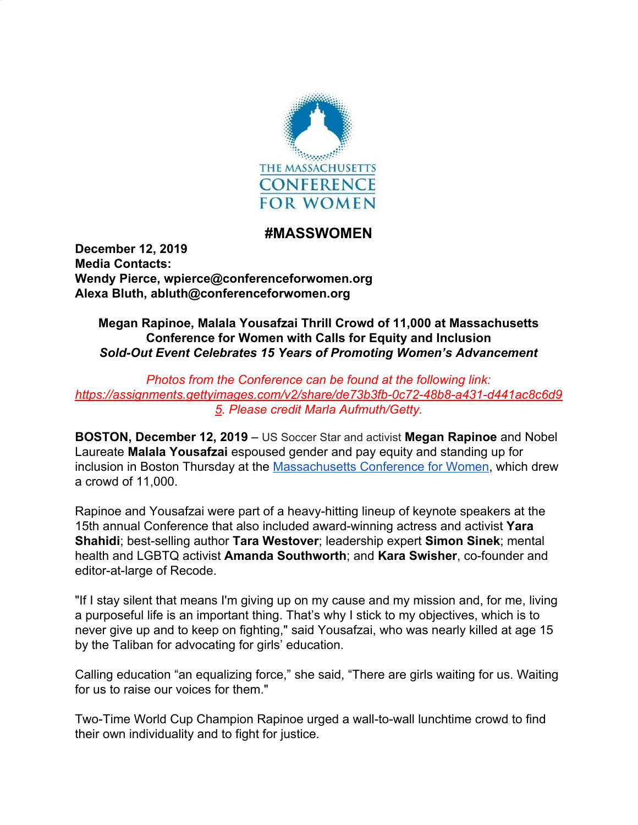

## **#MASSWOMEN**

**December 12, 2019 Media Contacts: Wendy Pierce, wpierce@conferenceforwomen.org Alexa Bluth, abluth@conferenceforwomen.org**

## **Megan Rapinoe, Malala Yousafzai Thrill Crowd of 11,000 at Massachusetts Conference for Women with Calls for Equity and Inclusion** *Sold-Out Event Celebrates 15 Years of Promoting Women's Advancement*

*Photos from the Conference can be found at the following link: [https://assignments.gettyimages.com/v2/share/de73b3fb-0c72-48b8-a431-d441ac8c6d9](https://assignments.gettyimages.com/v2/share/de73b3fb-0c72-48b8-a431-d441ac8c6d95) [5.](https://assignments.gettyimages.com/v2/share/de73b3fb-0c72-48b8-a431-d441ac8c6d95) Please credit Marla Aufmuth/Getty.*

**BOSTON, December 12, 2019** – US Soccer Star and activist **Megan Rapinoe** and Nobel Laureate **Malala Yousafzai** espoused gender and pay equity and standing up for inclusion in Boston Thursday at the [Massachusetts Conference for Women,](https://www.maconferenceforwomen.org/) which drew a crowd of 11,000.

Rapinoe and Yousafzai were part of a heavy-hitting lineup of keynote speakers at the 15th annual Conference that also included award-winning actress and activist **Yara Shahidi**; best-selling author **Tara Westover**; leadership expert **Simon Sinek**; mental health and LGBTQ activist **Amanda Southworth**; and **Kara Swisher**, co-founder and editor-at-large of Recode.

"If I stay silent that means I'm giving up on my cause and my mission and, for me, living a purposeful life is an important thing. That's why I stick to my objectives, which is to never give up and to keep on fighting," said Yousafzai, who was nearly killed at age 15 by the Taliban for advocating for girls' education.

Calling education "an equalizing force," she said, "There are girls waiting for us. Waiting for us to raise our voices for them."

Two-Time World Cup Champion Rapinoe urged a wall-to-wall lunchtime crowd to find their own individuality and to fight for justice.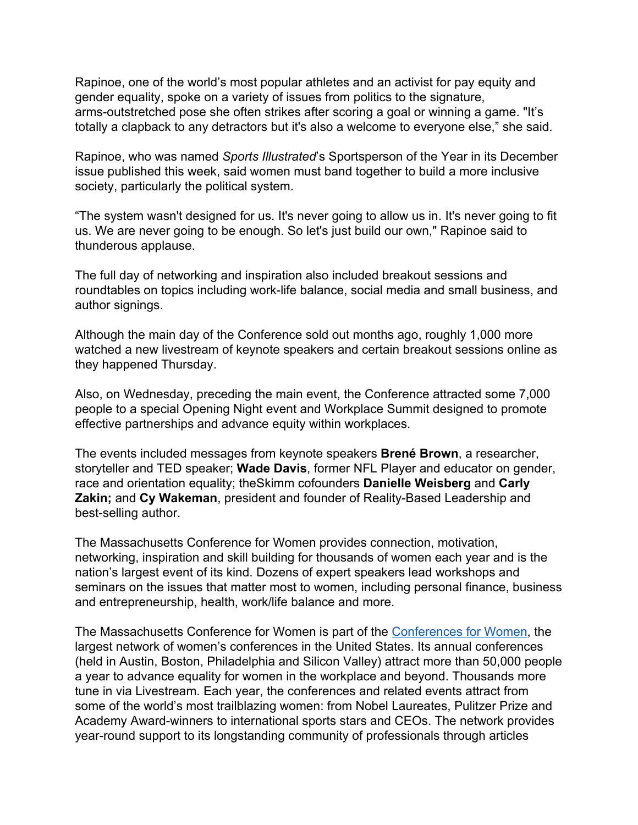Rapinoe, one of the world's most popular athletes and an activist for pay equity and gender equality, spoke on a variety of issues from politics to the signature, arms-outstretched pose she often strikes after scoring a goal or winning a game. "It's totally a clapback to any detractors but it's also a welcome to everyone else," she said.

Rapinoe, who was named *Sports Illustrated*'s Sportsperson of the Year in its December issue published this week, said women must band together to build a more inclusive society, particularly the political system.

"The system wasn't designed for us. It's never going to allow us in. It's never going to fit us. We are never going to be enough. So let's just build our own," Rapinoe said to thunderous applause.

The full day of networking and inspiration also included breakout sessions and roundtables on topics including work-life balance, social media and small business, and author signings.

Although the main day of the Conference sold out months ago, roughly 1,000 more watched a new livestream of keynote speakers and certain breakout sessions online as they happened Thursday.

Also, on Wednesday, preceding the main event, the Conference attracted some 7,000 people to a special Opening Night event and Workplace Summit designed to promote effective partnerships and advance equity within workplaces.

The events included messages from keynote speakers **Brené Brown**, a researcher, storyteller and TED speaker; **Wade Davis**, former NFL Player and educator on gender, race and orientation equality; theSkimm cofounders **Danielle Weisberg** and **Carly Zakin;** and **Cy Wakeman**, president and founder of Reality-Based Leadership and best-selling author.

The Massachusetts Conference for Women provides connection, motivation, networking, inspiration and skill building for thousands of women each year and is the nation's largest event of its kind. Dozens of expert speakers lead workshops and seminars on the issues that matter most to women, including personal finance, business and entrepreneurship, health, work/life balance and more.

The Massachusetts Conference for Women is part of the [Conferences for Women](https://www.conferencesforwomen.org/), the largest network of women's conferences in the United States. Its annual conferences (held in Austin, Boston, Philadelphia and Silicon Valley) attract more than 50,000 people a year to advance equality for women in the workplace and beyond. Thousands more tune in via Livestream. Each year, the conferences and related events attract from some of the world's most trailblazing women: from Nobel Laureates, Pulitzer Prize and Academy Award-winners to international sports stars and CEOs. The network provides year-round support to its longstanding community of professionals through articles